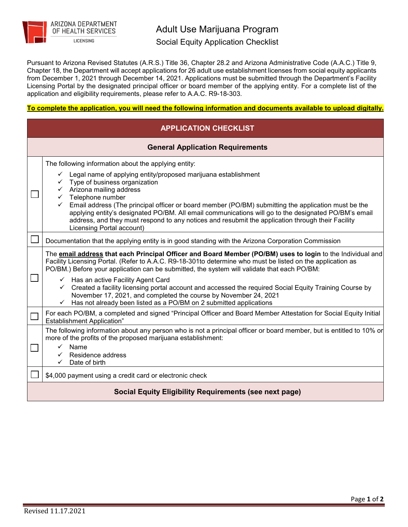

Social Equity Application Checklist

Pursuant to Arizona Revised Statutes (A.R.S.) Title 36, Chapter 28.2 and Arizona Administrative Code (A.A.C.) Title 9, Chapter 18, the Department will accept applications for 26 adult use establishment licenses from social equity applicants from December 1, 2021 through December 14, 2021. Applications must be submitted through the Department's Facility Licensing Portal by the designated principal officer or board member of the applying entity. For a complete list of the application and eligibility requirements, please refer to A.A.C. R9-18-303.

## **To complete the application, you will need the following information and documents available to upload digitally.**

| <b>APPLICATION CHECKLIST</b>            |                                                                                                                                                                                                                                                                                                                                                                                                                                                                                                                                                                                                                                 |  |
|-----------------------------------------|---------------------------------------------------------------------------------------------------------------------------------------------------------------------------------------------------------------------------------------------------------------------------------------------------------------------------------------------------------------------------------------------------------------------------------------------------------------------------------------------------------------------------------------------------------------------------------------------------------------------------------|--|
| <b>General Application Requirements</b> |                                                                                                                                                                                                                                                                                                                                                                                                                                                                                                                                                                                                                                 |  |
|                                         | The following information about the applying entity:<br>Legal name of applying entity/proposed marijuana establishment<br>✓<br>Type of business organization<br>✓<br>Arizona mailing address<br>$\checkmark$ Telephone number<br>Email address (The principal officer or board member (PO/BM) submitting the application must be the<br>applying entity's designated PO/BM. All email communications will go to the designated PO/BM's email<br>address, and they must respond to any notices and resubmit the application through their Facility<br>Licensing Portal account)                                                  |  |
|                                         | Documentation that the applying entity is in good standing with the Arizona Corporation Commission                                                                                                                                                                                                                                                                                                                                                                                                                                                                                                                              |  |
|                                         | The email address that each Principal Officer and Board Member (PO/BM) uses to login to the Individual and<br>Facility Licensing Portal. (Refer to A.A.C. R9-18-301to determine who must be listed on the application as<br>PO/BM.) Before your application can be submitted, the system will validate that each PO/BM:<br>$\checkmark$ Has an active Facility Agent Card<br>√ Created a facility licensing portal account and accessed the required Social Equity Training Course by<br>November 17, 2021, and completed the course by November 24, 2021<br>Has not already been listed as a PO/BM on 2 submitted applications |  |
|                                         | For each PO/BM, a completed and signed "Principal Officer and Board Member Attestation for Social Equity Initial<br><b>Establishment Application"</b>                                                                                                                                                                                                                                                                                                                                                                                                                                                                           |  |
|                                         | The following information about any person who is not a principal officer or board member, but is entitled to 10% or<br>more of the profits of the proposed marijuana establishment:<br>Name<br>$\checkmark$<br>Residence address<br>✓<br>Date of birth<br>✓<br>\$4,000 payment using a credit card or electronic check                                                                                                                                                                                                                                                                                                         |  |
|                                         | <b>Social Equity Eligibility Requirements (see next page)</b>                                                                                                                                                                                                                                                                                                                                                                                                                                                                                                                                                                   |  |